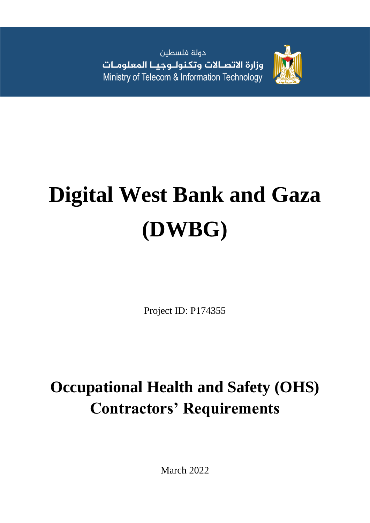دولة فلسطين وزارة الاتصالات وتكنولـوجيـا المعلومـات Ministry of Telecom & Information Technology



# **Digital West Bank and Gaza (DWBG)**

Project ID: P174355

# **Occupational Health and Safety (OHS) Contractors' Requirements**

March 2022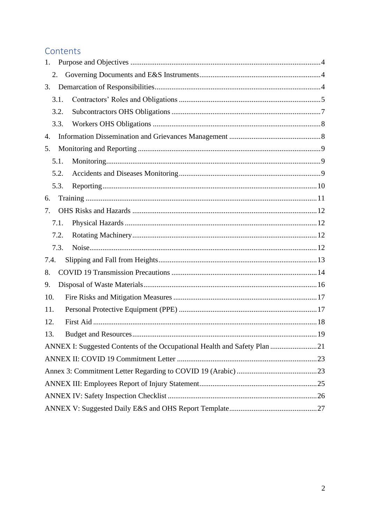# Contents

| 1.   |                                                                           |     |
|------|---------------------------------------------------------------------------|-----|
| 2.   |                                                                           |     |
| 3.   |                                                                           |     |
| 3.1. |                                                                           |     |
| 3.2. |                                                                           |     |
| 3.3. |                                                                           |     |
| 4.   |                                                                           |     |
| 5.   |                                                                           |     |
| 5.1. |                                                                           |     |
| 5.2. |                                                                           |     |
| 5.3. |                                                                           |     |
| 6.   |                                                                           |     |
| 7.   |                                                                           |     |
| 7.1. |                                                                           |     |
| 7.2. |                                                                           |     |
| 7.3. |                                                                           |     |
| 7.4. |                                                                           |     |
| 8.   |                                                                           |     |
| 9.   |                                                                           |     |
| 10.  |                                                                           |     |
| 11.  |                                                                           |     |
| 12.  |                                                                           |     |
| 13.  |                                                                           | .19 |
|      | ANNEX I: Suggested Contents of the Occupational Health and Safety Plan 21 |     |
|      |                                                                           |     |
|      |                                                                           |     |
|      |                                                                           |     |
|      |                                                                           |     |
|      |                                                                           |     |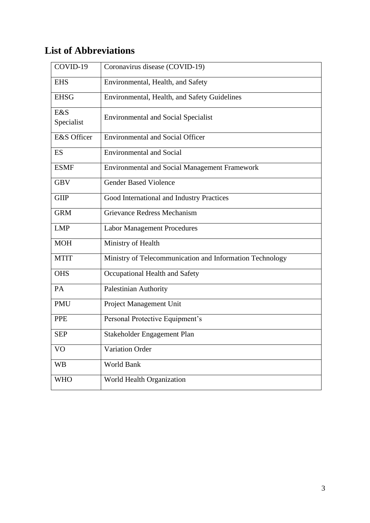# **List of Abbreviations**

| COVID-19          | Coronavirus disease (COVID-19)                           |
|-------------------|----------------------------------------------------------|
| <b>EHS</b>        | Environmental, Health, and Safety                        |
| <b>EHSG</b>       | Environmental, Health, and Safety Guidelines             |
| E&S<br>Specialist | <b>Environmental and Social Specialist</b>               |
| E&S Officer       | <b>Environmental and Social Officer</b>                  |
| ES                | <b>Environmental and Social</b>                          |
| <b>ESMF</b>       | <b>Environmental and Social Management Framework</b>     |
| <b>GBV</b>        | <b>Gender Based Violence</b>                             |
| <b>GIIP</b>       | Good International and Industry Practices                |
| <b>GRM</b>        | Grievance Redress Mechanism                              |
| <b>LMP</b>        | <b>Labor Management Procedures</b>                       |
| <b>MOH</b>        | Ministry of Health                                       |
| <b>MTIT</b>       | Ministry of Telecommunication and Information Technology |
| <b>OHS</b>        | Occupational Health and Safety                           |
| PA                | Palestinian Authority                                    |
| PMU               | Project Management Unit                                  |
| <b>PPE</b>        | Personal Protective Equipment's                          |
| <b>SEP</b>        | Stakeholder Engagement Plan                              |
| V <sub>O</sub>    | Variation Order                                          |
| <b>WB</b>         | World Bank                                               |
| <b>WHO</b>        | World Health Organization                                |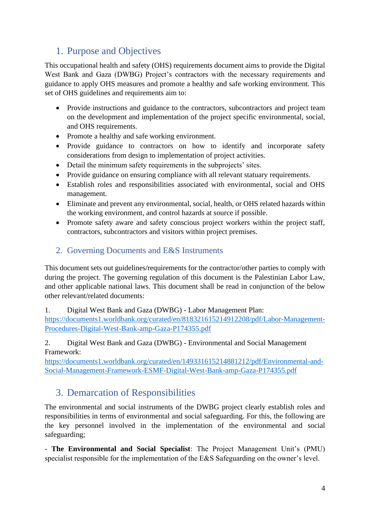# <span id="page-3-0"></span>1. Purpose and Objectives

This occupational health and safety (OHS) requirements document aims to provide the Digital West Bank and Gaza (DWBG) Project's contractors with the necessary requirements and guidance to apply OHS measures and promote a healthy and safe working environment. This set of OHS guidelines and requirements aim to:

- Provide instructions and guidance to the contractors, subcontractors and project team on the development and implementation of the project specific environmental, social, and OHS requirements.
- Promote a healthy and safe working environment.
- Provide guidance to contractors on how to identify and incorporate safety considerations from design to implementation of project activities.
- Detail the minimum safety requirements in the subprojects' sites.
- Provide guidance on ensuring compliance with all relevant statuary requirements.
- Establish roles and responsibilities associated with environmental, social and OHS management.
- Eliminate and prevent any environmental, social, health, or OHS related hazards within the working environment, and control hazards at source if possible.
- Promote safety aware and safety conscious project workers within the project staff. contractors, subcontractors and visitors within project premises.

#### <span id="page-3-1"></span>2. Governing Documents and E&S Instruments

This document sets out guidelines/requirements for the contractor/other parties to comply with during the project. The governing regulation of this document is the Palestinian Labor Law, and other applicable national laws. This document shall be read in conjunction of the below other relevant/related documents:

1. Digital West Bank and Gaza (DWBG) - Labor Management Plan:

[https://documents1.worldbank.org/curated/en/818321615214912208/pdf/Labor-Management-](https://documents1.worldbank.org/curated/en/818321615214912208/pdf/Labor-Management-Procedures-Digital-West-Bank-amp-Gaza-P174355.pdf)[Procedures-Digital-West-Bank-amp-Gaza-P174355.pdf](https://documents1.worldbank.org/curated/en/818321615214912208/pdf/Labor-Management-Procedures-Digital-West-Bank-amp-Gaza-P174355.pdf)

#### 2. Digital West Bank and Gaza (DWBG) - Environmental and Social Management Framework:

[https://documents1.worldbank.org/curated/en/149331615214881212/pdf/Environmental-and-](https://documents1.worldbank.org/curated/en/149331615214881212/pdf/Environmental-and-Social-Management-Framework-ESMF-Digital-West-Bank-amp-Gaza-P174355.pdf)[Social-Management-Framework-ESMF-Digital-West-Bank-amp-Gaza-P174355.pdf](https://documents1.worldbank.org/curated/en/149331615214881212/pdf/Environmental-and-Social-Management-Framework-ESMF-Digital-West-Bank-amp-Gaza-P174355.pdf)

# <span id="page-3-2"></span>3. Demarcation of Responsibilities

The environmental and social instruments of the DWBG project clearly establish roles and responsibilities in terms of environmental and social safeguarding. For this, the following are the key personnel involved in the implementation of the environmental and social safeguarding;

- **The Environmental and Social Specialist**: The Project Management Unit's (PMU) specialist responsible for the implementation of the E&S Safeguarding on the owner's level.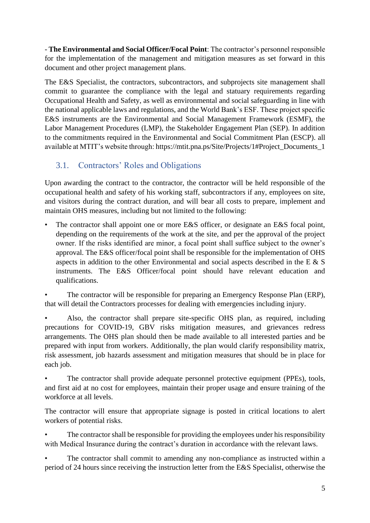- **The Environmental and Social Officer/Focal Point**: The contractor's personnel responsible for the implementation of the management and mitigation measures as set forward in this document and other project management plans.

The E&S Specialist, the contractors, subcontractors, and subprojects site management shall commit to guarantee the compliance with the legal and statuary requirements regarding Occupational Health and Safety, as well as environmental and social safeguarding in line with the national applicable laws and regulations, and the World Bank's ESF. These project specific E&S instruments are the Environmental and Social Management Framework (ESMF), the Labor Management Procedures (LMP), the Stakeholder Engagement Plan (SEP). In addition to the commitments required in the Environmental and Social Commitment Plan (ESCP). all available at MTIT's website through: https://mtit.pna.ps/Site/Projects/1#Project\_Documents\_1

#### <span id="page-4-0"></span>3.1. Contractors' Roles and Obligations

Upon awarding the contract to the contractor, the contractor will be held responsible of the occupational health and safety of his working staff, subcontractors if any, employees on site, and visitors during the contract duration, and will bear all costs to prepare, implement and maintain OHS measures, including but not limited to the following:

The contractor shall appoint one or more E&S officer, or designate an E&S focal point, depending on the requirements of the work at the site, and per the approval of the project owner. If the risks identified are minor, a focal point shall suffice subject to the owner's approval. The E&S officer/focal point shall be responsible for the implementation of OHS aspects in addition to the other Environmental and social aspects described in the E & S instruments. The E&S Officer/focal point should have relevant education and qualifications.

• The contractor will be responsible for preparing an Emergency Response Plan (ERP), that will detail the Contractors processes for dealing with emergencies including injury.

• Also, the contractor shall prepare site-specific OHS plan, as required, including precautions for COVID-19, GBV risks mitigation measures, and grievances redress arrangements. The OHS plan should then be made available to all interested parties and be prepared with input from workers. Additionally, the plan would clarify responsibility matrix, risk assessment, job hazards assessment and mitigation measures that should be in place for each job.

The contractor shall provide adequate personnel protective equipment (PPEs), tools, and first aid at no cost for employees, maintain their proper usage and ensure training of the workforce at all levels.

The contractor will ensure that appropriate signage is posted in critical locations to alert workers of potential risks.

The contractor shall be responsible for providing the employees under his responsibility with Medical Insurance during the contract's duration in accordance with the relevant laws.

The contractor shall commit to amending any non-compliance as instructed within a period of 24 hours since receiving the instruction letter from the E&S Specialist, otherwise the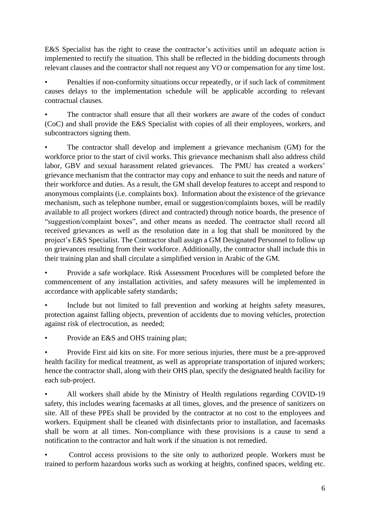E&S Specialist has the right to cease the contractor's activities until an adequate action is implemented to rectify the situation. This shall be reflected in the bidding documents through relevant clauses and the contractor shall not request any VO or compensation for any time lost.

• Penalties if non-conformity situations occur repeatedly, or if such lack of commitment causes delays to the implementation schedule will be applicable according to relevant contractual clauses.

The contractor shall ensure that all their workers are aware of the codes of conduct (CoC) and shall provide the E&S Specialist with copies of all their employees, workers, and subcontractors signing them.

• The contractor shall develop and implement a grievance mechanism (GM) for the workforce prior to the start of civil works. This grievance mechanism shall also address child labor, GBV and sexual harassment related grievances. The PMU has created a workers' grievance mechanism that the contractor may copy and enhance to suit the needs and nature of their workforce and duties. As a result, the GM shall develop features to accept and respond to anonymous complaints (i.e. complaints box). Information about the existence of the grievance mechanism, such as telephone number, email or suggestion/complaints boxes, will be readily available to all project workers (direct and contracted) through notice boards, the presence of "suggestion/complaint boxes", and other means as needed. The contractor shall record all received grievances as well as the resolution date in a log that shall be monitored by the project's E&S Specialist. The Contractor shall assign a GM Designated Personnel to follow up on grievances resulting from their workforce. Additionally, the contractor shall include this in their training plan and shall circulate a simplified version in Arabic of the GM.

• Provide a safe workplace. Risk Assessment Procedures will be completed before the commencement of any installation activities, and safety measures will be implemented in accordance with applicable safety standards;

Include but not limited to fall prevention and working at heights safety measures, protection against falling objects, prevention of accidents due to moving vehicles, protection against risk of electrocution, as needed;

Provide an E&S and OHS training plan:

• Provide First aid kits on site. For more serious injuries, there must be a pre-approved health facility for medical treatment, as well as appropriate transportation of injured workers; hence the contractor shall, along with their OHS plan, specify the designated health facility for each sub-project.

• All workers shall abide by the Ministry of Health regulations regarding COVID-19 safety, this includes wearing facemasks at all times, gloves, and the presence of sanitizers on site. All of these PPEs shall be provided by the contractor at no cost to the employees and workers. Equipment shall be cleaned with disinfectants prior to installation, and facemasks shall be worn at all times. Non-compliance with these provisions is a cause to send a notification to the contractor and halt work if the situation is not remedied.

• Control access provisions to the site only to authorized people. Workers must be trained to perform hazardous works such as working at heights, confined spaces, welding etc.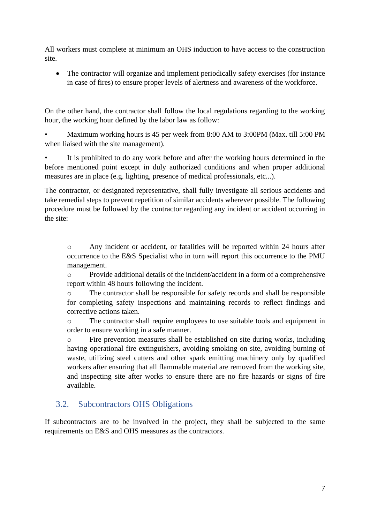All workers must complete at minimum an OHS induction to have access to the construction site.

• The contractor will organize and implement periodically safety exercises (for instance in case of fires) to ensure proper levels of alertness and awareness of the workforce.

On the other hand, the contractor shall follow the local regulations regarding to the working hour, the working hour defined by the labor law as follow:

• Maximum working hours is 45 per week from 8:00 AM to 3:00PM (Max. till 5:00 PM when liaised with the site management).

It is prohibited to do any work before and after the working hours determined in the before mentioned point except in duly authorized conditions and when proper additional measures are in place (e.g. lighting, presence of medical professionals, etc...).

The contractor, or designated representative, shall fully investigate all serious accidents and take remedial steps to prevent repetition of similar accidents wherever possible. The following procedure must be followed by the contractor regarding any incident or accident occurring in the site:

o Any incident or accident, or fatalities will be reported within 24 hours after occurrence to the E&S Specialist who in turn will report this occurrence to the PMU management.

o Provide additional details of the incident/accident in a form of a comprehensive report within 48 hours following the incident.

o The contractor shall be responsible for safety records and shall be responsible for completing safety inspections and maintaining records to reflect findings and corrective actions taken.

o The contractor shall require employees to use suitable tools and equipment in order to ensure working in a safe manner.

o Fire prevention measures shall be established on site during works, including having operational fire extinguishers, avoiding smoking on site, avoiding burning of waste, utilizing steel cutters and other spark emitting machinery only by qualified workers after ensuring that all flammable material are removed from the working site, and inspecting site after works to ensure there are no fire hazards or signs of fire available.

#### <span id="page-6-0"></span>3.2. Subcontractors OHS Obligations

If subcontractors are to be involved in the project, they shall be subjected to the same requirements on E&S and OHS measures as the contractors.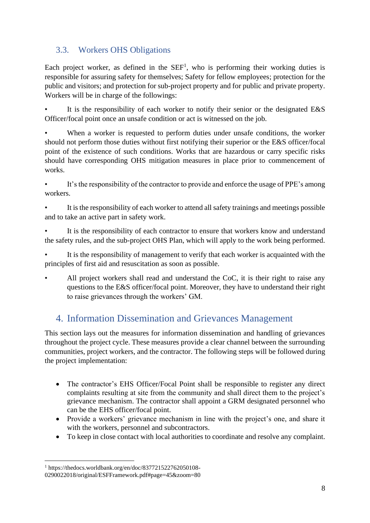#### <span id="page-7-0"></span>3.3. Workers OHS Obligations

Each project worker, as defined in the  $SEF<sup>1</sup>$ , who is performing their working duties is responsible for assuring safety for themselves; Safety for fellow employees; protection for the public and visitors; and protection for sub-project property and for public and private property. Workers will be in charge of the followings:

It is the responsibility of each worker to notify their senior or the designated  $E&S$ Officer/focal point once an unsafe condition or act is witnessed on the job.

When a worker is requested to perform duties under unsafe conditions, the worker should not perform those duties without first notifying their superior or the E&S officer/focal point of the existence of such conditions. Works that are hazardous or carry specific risks should have corresponding OHS mitigation measures in place prior to commencement of works.

It's the responsibility of the contractor to provide and enforce the usage of PPE's among workers.

It is the responsibility of each worker to attend all safety trainings and meetings possible and to take an active part in safety work.

It is the responsibility of each contractor to ensure that workers know and understand the safety rules, and the sub-project OHS Plan, which will apply to the work being performed.

It is the responsibility of management to verify that each worker is acquainted with the principles of first aid and resuscitation as soon as possible.

All project workers shall read and understand the CoC, it is their right to raise any questions to the E&S officer/focal point. Moreover, they have to understand their right to raise grievances through the workers' GM.

# <span id="page-7-1"></span>4. Information Dissemination and Grievances Management

This section lays out the measures for information dissemination and handling of grievances throughout the project cycle. These measures provide a clear channel between the surrounding communities, project workers, and the contractor. The following steps will be followed during the project implementation:

- The contractor's EHS Officer/Focal Point shall be responsible to register any direct complaints resulting at site from the community and shall direct them to the project's grievance mechanism. The contractor shall appoint a GRM designated personnel who can be the EHS officer/focal point.
- Provide a workers' grievance mechanism in line with the project's one, and share it with the workers, personnel and subcontractors.
- To keep in close contact with local authorities to coordinate and resolve any complaint.

 $1$  https://thedocs.worldbank.org/en/doc/837721522762050108-0290022018/original/ESFFramework.pdf#page=45&zoom=80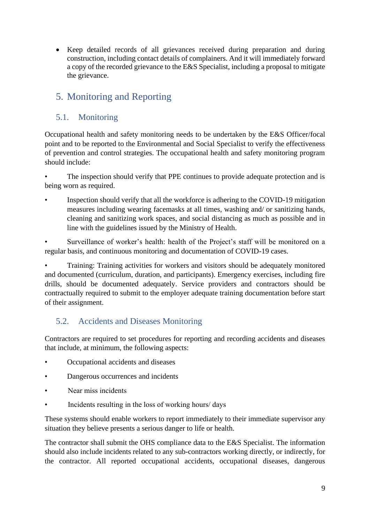• Keep detailed records of all grievances received during preparation and during construction, including contact details of complainers. And it will immediately forward a copy of the recorded grievance to the E&S Specialist, including a proposal to mitigate the grievance.

# <span id="page-8-0"></span>5. Monitoring and Reporting

#### <span id="page-8-1"></span>5.1. Monitoring

Occupational health and safety monitoring needs to be undertaken by the E&S Officer/focal point and to be reported to the Environmental and Social Specialist to verify the effectiveness of prevention and control strategies. The occupational health and safety monitoring program should include:

The inspection should verify that PPE continues to provide adequate protection and is being worn as required.

• Inspection should verify that all the workforce is adhering to the COVID-19 mitigation measures including wearing facemasks at all times, washing and/ or sanitizing hands, cleaning and sanitizing work spaces, and social distancing as much as possible and in line with the guidelines issued by the Ministry of Health.

Surveillance of worker's health: health of the Project's staff will be monitored on a regular basis, and continuous monitoring and documentation of COVID-19 cases.

• Training: Training activities for workers and visitors should be adequately monitored and documented (curriculum, duration, and participants). Emergency exercises, including fire drills, should be documented adequately. Service providers and contractors should be contractually required to submit to the employer adequate training documentation before start of their assignment.

#### <span id="page-8-2"></span>5.2. Accidents and Diseases Monitoring

Contractors are required to set procedures for reporting and recording accidents and diseases that include, at minimum, the following aspects:

- Occupational accidents and diseases
- Dangerous occurrences and incidents
- Near miss incidents
- Incidents resulting in the loss of working hours/ days

These systems should enable workers to report immediately to their immediate supervisor any situation they believe presents a serious danger to life or health.

The contractor shall submit the OHS compliance data to the E&S Specialist. The information should also include incidents related to any sub-contractors working directly, or indirectly, for the contractor. All reported occupational accidents, occupational diseases, dangerous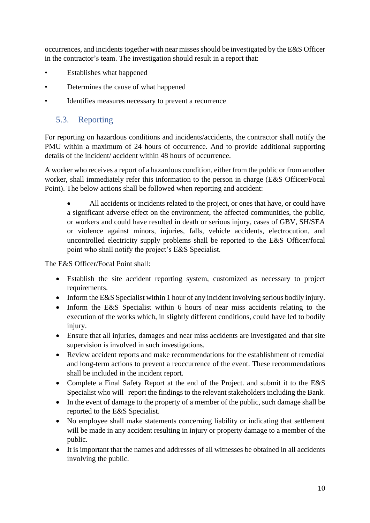occurrences, and incidents together with near misses should be investigated by the E&S Officer in the contractor's team. The investigation should result in a report that:

- Establishes what happened
- Determines the cause of what happened
- Identifies measures necessary to prevent a recurrence

#### <span id="page-9-0"></span>5.3. Reporting

For reporting on hazardous conditions and incidents/accidents, the contractor shall notify the PMU within a maximum of 24 hours of occurrence. And to provide additional supporting details of the incident/ accident within 48 hours of occurrence.

A worker who receives a report of a hazardous condition, either from the public or from another worker, shall immediately refer this information to the person in charge (E&S Officer/Focal Point). The below actions shall be followed when reporting and accident:

All accidents or incidents related to the project, or ones that have, or could have a significant adverse effect on the environment, the affected communities, the public, or workers and could have resulted in death or serious injury, cases of GBV, SH/SEA or violence against minors, injuries, falls, vehicle accidents, electrocution, and uncontrolled electricity supply problems shall be reported to the E&S Officer/focal point who shall notify the project's E&S Specialist.

The E&S Officer/Focal Point shall:

- Establish the site accident reporting system, customized as necessary to project requirements.
- Inform the E&S Specialist within 1 hour of any incident involving serious bodily injury.
- Inform the E&S Specialist within 6 hours of near miss accidents relating to the execution of the works which, in slightly different conditions, could have led to bodily injury.
- Ensure that all injuries, damages and near miss accidents are investigated and that site supervision is involved in such investigations.
- Review accident reports and make recommendations for the establishment of remedial and long-term actions to prevent a reoccurrence of the event. These recommendations shall be included in the incident report.
- Complete a Final Safety Report at the end of the Project. and submit it to the E&S Specialist who will report the findings to the relevant stakeholders including the Bank.
- In the event of damage to the property of a member of the public, such damage shall be reported to the E&S Specialist.
- No employee shall make statements concerning liability or indicating that settlement will be made in any accident resulting in injury or property damage to a member of the public.
- It is important that the names and addresses of all witnesses be obtained in all accidents involving the public.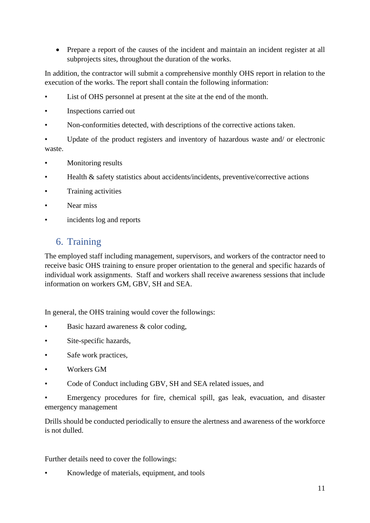• Prepare a report of the causes of the incident and maintain an incident register at all subprojects sites, throughout the duration of the works.

In addition, the contractor will submit a comprehensive monthly OHS report in relation to the execution of the works. The report shall contain the following information:

- List of OHS personnel at present at the site at the end of the month.
- Inspections carried out
- Non-conformities detected, with descriptions of the corrective actions taken.

• Update of the product registers and inventory of hazardous waste and/ or electronic waste.

- Monitoring results
- Health & safety statistics about accidents/incidents, preventive/corrective actions
- Training activities
- Near miss
- <span id="page-10-0"></span>incidents log and reports

#### 6. Training

The employed staff including management, supervisors, and workers of the contractor need to receive basic OHS training to ensure proper orientation to the general and specific hazards of individual work assignments. Staff and workers shall receive awareness sessions that include information on workers GM, GBV, SH and SEA.

In general, the OHS training would cover the followings:

- Basic hazard awareness & color coding,
- Site-specific hazards,
- Safe work practices,
- Workers GM
- Code of Conduct including GBV, SH and SEA related issues, and
- Emergency procedures for fire, chemical spill, gas leak, evacuation, and disaster emergency management

Drills should be conducted periodically to ensure the alertness and awareness of the workforce is not dulled.

Further details need to cover the followings:

• Knowledge of materials, equipment, and tools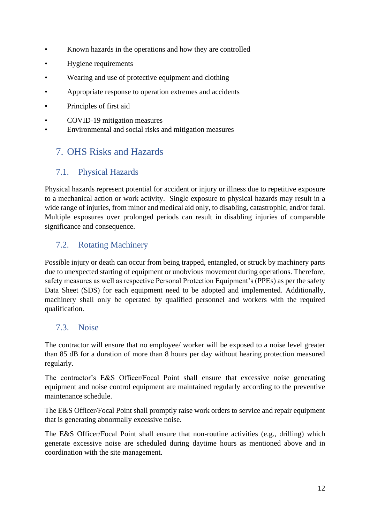- Known hazards in the operations and how they are controlled
- Hygiene requirements
- Wearing and use of protective equipment and clothing
- Appropriate response to operation extremes and accidents
- Principles of first aid
- COVID-19 mitigation measures
- Environmental and social risks and mitigation measures

# <span id="page-11-0"></span>7. OHS Risks and Hazards

#### <span id="page-11-1"></span>7.1. Physical Hazards

Physical hazards represent potential for accident or injury or illness due to repetitive exposure to a mechanical action or work activity. Single exposure to physical hazards may result in a wide range of injuries, from minor and medical aid only, to disabling, catastrophic, and/or fatal. Multiple exposures over prolonged periods can result in disabling injuries of comparable significance and consequence.

#### <span id="page-11-2"></span>7.2. Rotating Machinery

Possible injury or death can occur from being trapped, entangled, or struck by machinery parts due to unexpected starting of equipment or unobvious movement during operations. Therefore, safety measures as well as respective Personal Protection Equipment's (PPEs) as per the safety Data Sheet (SDS) for each equipment need to be adopted and implemented. Additionally, machinery shall only be operated by qualified personnel and workers with the required qualification.

#### <span id="page-11-3"></span>7.3. Noise

The contractor will ensure that no employee/ worker will be exposed to a noise level greater than 85 dB for a duration of more than 8 hours per day without hearing protection measured regularly.

The contractor's E&S Officer/Focal Point shall ensure that excessive noise generating equipment and noise control equipment are maintained regularly according to the preventive maintenance schedule.

The E&S Officer/Focal Point shall promptly raise work orders to service and repair equipment that is generating abnormally excessive noise.

The E&S Officer/Focal Point shall ensure that non-routine activities (e.g., drilling) which generate excessive noise are scheduled during daytime hours as mentioned above and in coordination with the site management.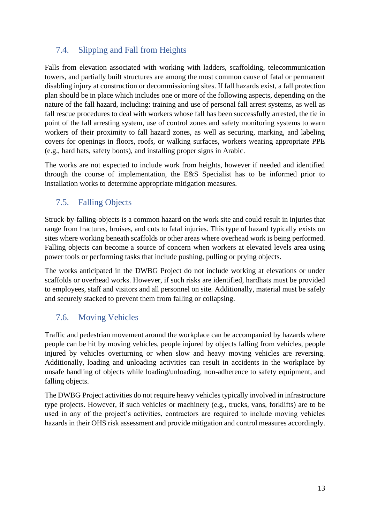# <span id="page-12-0"></span>7.4. Slipping and Fall from Heights

Falls from elevation associated with working with ladders, scaffolding, telecommunication towers, and partially built structures are among the most common cause of fatal or permanent disabling injury at construction or decommissioning sites. If fall hazards exist, a fall protection plan should be in place which includes one or more of the following aspects, depending on the nature of the fall hazard, including: training and use of personal fall arrest systems, as well as fall rescue procedures to deal with workers whose fall has been successfully arrested, the tie in point of the fall arresting system, use of control zones and safety monitoring systems to warn workers of their proximity to fall hazard zones, as well as securing, marking, and labeling covers for openings in floors, roofs, or walking surfaces, workers wearing appropriate PPE (e.g., hard hats, safety boots), and installing proper signs in Arabic.

The works are not expected to include work from heights, however if needed and identified through the course of implementation, the E&S Specialist has to be informed prior to installation works to determine appropriate mitigation measures.

# 7.5. Falling Objects

Struck-by-falling-objects is a common hazard on the work site and could result in injuries that range from fractures, bruises, and cuts to fatal injuries. This type of hazard typically exists on sites where working beneath scaffolds or other areas where overhead work is being performed. Falling objects can become a source of concern when workers at elevated levels area using power tools or performing tasks that include pushing, pulling or prying objects.

The works anticipated in the DWBG Project do not include working at elevations or under scaffolds or overhead works. However, if such risks are identified, hardhats must be provided to employees, staff and visitors and all personnel on site. Additionally, material must be safely and securely stacked to prevent them from falling or collapsing.

# 7.6. Moving Vehicles

Traffic and pedestrian movement around the workplace can be accompanied by hazards where people can be hit by moving vehicles, people injured by objects falling from vehicles, people injured by vehicles overturning or when slow and heavy moving vehicles are reversing. Additionally, loading and unloading activities can result in accidents in the workplace by unsafe handling of objects while loading/unloading, non-adherence to safety equipment, and falling objects.

The DWBG Project activities do not require heavy vehicles typically involved in infrastructure type projects. However, if such vehicles or machinery (e.g., trucks, vans, forklifts) are to be used in any of the project's activities, contractors are required to include moving vehicles hazards in their OHS risk assessment and provide mitigation and control measures accordingly.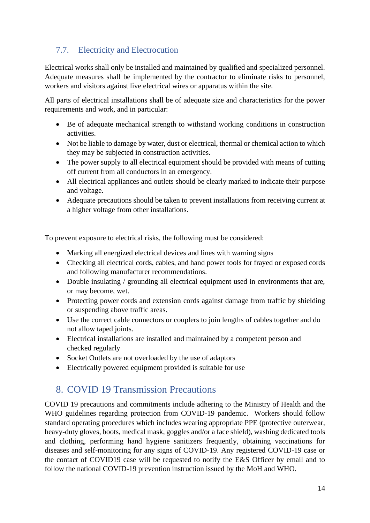# 7.7. Electricity and Electrocution

Electrical works shall only be installed and maintained by qualified and specialized personnel. Adequate measures shall be implemented by the contractor to eliminate risks to personnel, workers and visitors against live electrical wires or apparatus within the site.

All parts of electrical installations shall be of adequate size and characteristics for the power requirements and work, and in particular:

- Be of adequate mechanical strength to withstand working conditions in construction activities.
- Not be liable to damage by water, dust or electrical, thermal or chemical action to which they may be subjected in construction activities.
- The power supply to all electrical equipment should be provided with means of cutting off current from all conductors in an emergency.
- All electrical appliances and outlets should be clearly marked to indicate their purpose and voltage.
- Adequate precautions should be taken to prevent installations from receiving current at a higher voltage from other installations.

To prevent exposure to electrical risks, the following must be considered:

- Marking all energized electrical devices and lines with warning signs
- Checking all electrical cords, cables, and hand power tools for frayed or exposed cords and following manufacturer recommendations.
- Double insulating / grounding all electrical equipment used in environments that are, or may become, wet.
- Protecting power cords and extension cords against damage from traffic by shielding or suspending above traffic areas.
- Use the correct cable connectors or couplers to join lengths of cables together and do not allow taped joints.
- Electrical installations are installed and maintained by a competent person and checked regularly
- Socket Outlets are not overloaded by the use of adaptors
- Electrically powered equipment provided is suitable for use

# <span id="page-13-0"></span>8. COVID 19 Transmission Precautions

COVID 19 precautions and commitments include adhering to the Ministry of Health and the WHO guidelines regarding protection from COVID-19 pandemic. Workers should follow standard operating procedures which includes wearing appropriate PPE (protective outerwear, heavy-duty gloves, boots, medical mask, goggles and/or a face shield), washing dedicated tools and clothing, performing hand hygiene sanitizers frequently, obtaining vaccinations for diseases and self-monitoring for any signs of COVID-19. Any registered COVID-19 case or the contact of COVID19 case will be requested to notify the E&S Officer by email and to follow the national COVID-19 prevention instruction issued by the MoH and WHO.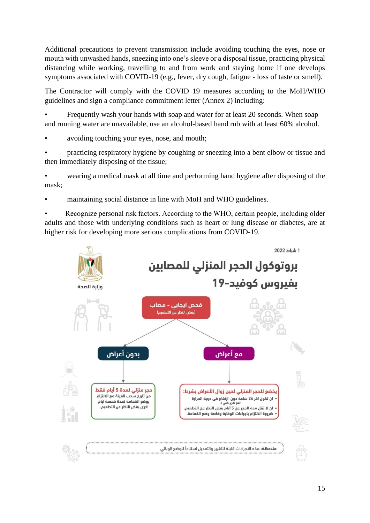Additional precautions to prevent transmission include avoiding touching the eyes, nose or mouth with unwashed hands, sneezing into one's sleeve or a disposal tissue, practicing physical distancing while working, travelling to and from work and staying home if one develops symptoms associated with COVID-19 (e.g., fever, dry cough, fatigue - loss of taste or smell).

The Contractor will comply with the COVID 19 measures according to the MoH/WHO guidelines and sign a compliance commitment letter (Annex 2) including:

• Frequently wash your hands with soap and water for at least 20 seconds. When soap and running water are unavailable, use an alcohol-based hand rub with at least 60% alcohol.

avoiding touching your eyes, nose, and mouth;

• practicing respiratory hygiene by coughing or sneezing into a bent elbow or tissue and then immediately disposing of the tissue;

• wearing a medical mask at all time and performing hand hygiene after disposing of the mask;

• maintaining social distance in line with MoH and WHO guidelines.

Recognize personal risk factors. According to the WHO, certain people, including older adults and those with underlying conditions such as heart or lung disease or diabetes, are at higher risk for developing more serious complications from COVID-19.

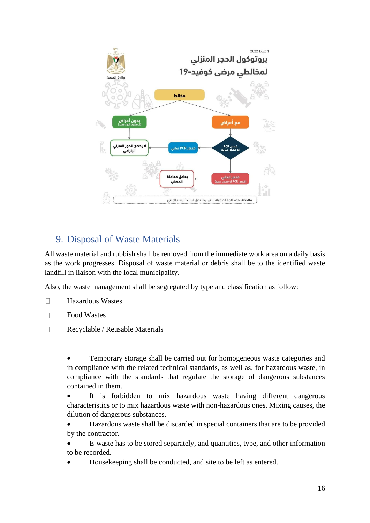

# <span id="page-15-0"></span>9. Disposal of Waste Materials

All waste material and rubbish shall be removed from the immediate work area on a daily basis as the work progresses. Disposal of waste material or debris shall be to the identified waste landfill in liaison with the local municipality.

Also, the waste management shall be segregated by type and classification as follow:

- $\Box$ Hazardous Wastes
- $\Box$ Food Wastes
- $\Box$ Recyclable / Reusable Materials

• Temporary storage shall be carried out for homogeneous waste categories and in compliance with the related technical standards, as well as, for hazardous waste, in compliance with the standards that regulate the storage of dangerous substances contained in them.

• It is forbidden to mix hazardous waste having different dangerous characteristics or to mix hazardous waste with non-hazardous ones. Mixing causes, the dilution of dangerous substances.

- Hazardous waste shall be discarded in special containers that are to be provided by the contractor.
- E-waste has to be stored separately, and quantities, type, and other information to be recorded.
- Housekeeping shall be conducted, and site to be left as entered.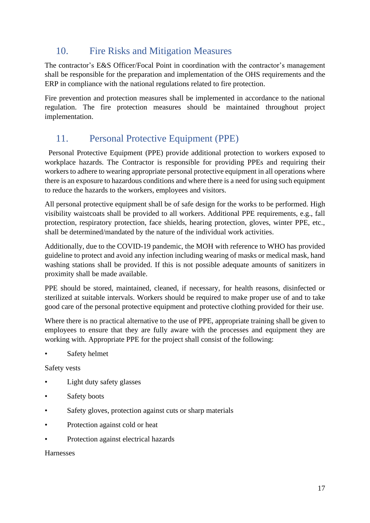# <span id="page-16-0"></span>10. Fire Risks and Mitigation Measures

The contractor's E&S Officer/Focal Point in coordination with the contractor's management shall be responsible for the preparation and implementation of the OHS requirements and the ERP in compliance with the national regulations related to fire protection.

Fire prevention and protection measures shall be implemented in accordance to the national regulation. The fire protection measures should be maintained throughout project implementation.

# <span id="page-16-1"></span>11. Personal Protective Equipment (PPE)

 Personal Protective Equipment (PPE) provide additional protection to workers exposed to workplace hazards. The Contractor is responsible for providing PPEs and requiring their workers to adhere to wearing appropriate personal protective equipment in all operations where there is an exposure to hazardous conditions and where there is a need for using such equipment to reduce the hazards to the workers, employees and visitors.

All personal protective equipment shall be of safe design for the works to be performed. High visibility waistcoats shall be provided to all workers. Additional PPE requirements, e.g., fall protection, respiratory protection, face shields, hearing protection, gloves, winter PPE, etc., shall be determined/mandated by the nature of the individual work activities.

Additionally, due to the COVID-19 pandemic, the MOH with reference to WHO has provided guideline to protect and avoid any infection including wearing of masks or medical mask, hand washing stations shall be provided. If this is not possible adequate amounts of sanitizers in proximity shall be made available.

PPE should be stored, maintained, cleaned, if necessary, for health reasons, disinfected or sterilized at suitable intervals. Workers should be required to make proper use of and to take good care of the personal protective equipment and protective clothing provided for their use.

Where there is no practical alternative to the use of PPE, appropriate training shall be given to employees to ensure that they are fully aware with the processes and equipment they are working with. Appropriate PPE for the project shall consist of the following:

Safety helmet

Safety vests

- Light duty safety glasses
- Safety boots
- Safety gloves, protection against cuts or sharp materials
- Protection against cold or heat
- Protection against electrical hazards

#### Harnesses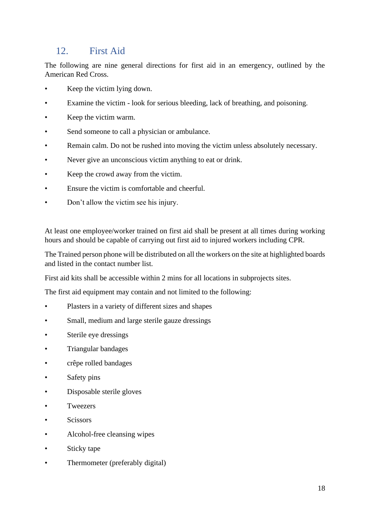# <span id="page-17-0"></span>12. First Aid

The following are nine general directions for first aid in an emergency, outlined by the American Red Cross.

- Keep the victim lying down.
- Examine the victim look for serious bleeding, lack of breathing, and poisoning.
- Keep the victim warm.
- Send someone to call a physician or ambulance.
- Remain calm. Do not be rushed into moving the victim unless absolutely necessary.
- Never give an unconscious victim anything to eat or drink.
- Keep the crowd away from the victim.
- Ensure the victim is comfortable and cheerful.
- Don't allow the victim see his injury.

At least one employee/worker trained on first aid shall be present at all times during working hours and should be capable of carrying out first aid to injured workers including CPR.

The Trained person phone will be distributed on all the workers on the site at highlighted boards and listed in the contact number list.

First aid kits shall be accessible within 2 mins for all locations in subprojects sites.

The first aid equipment may contain and not limited to the following:

- Plasters in a variety of different sizes and shapes
- Small, medium and large sterile gauze dressings
- Sterile eye dressings
- Triangular bandages
- crêpe rolled bandages
- Safety pins
- Disposable sterile gloves
- **Tweezers**
- Scissors
- Alcohol-free cleansing wipes
- Sticky tape
- Thermometer (preferably digital)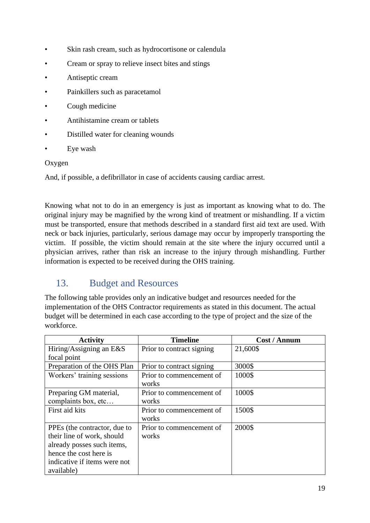- Skin rash cream, such as hydrocortisone or calendula
- Cream or spray to relieve insect bites and stings
- Antiseptic cream
- Painkillers such as paracetamol
- Cough medicine
- Antihistamine cream or tablets
- Distilled water for cleaning wounds
- Eye wash

#### Oxygen

And, if possible, a defibrillator in case of accidents causing cardiac arrest.

Knowing what not to do in an emergency is just as important as knowing what to do. The original injury may be magnified by the wrong kind of treatment or mishandling. If a victim must be transported, ensure that methods described in a standard first aid text are used. With neck or back injuries, particularly, serious damage may occur by improperly transporting the victim. If possible, the victim should remain at the site where the injury occurred until a physician arrives, rather than risk an increase to the injury through mishandling. Further information is expected to be received during the OHS training.

# <span id="page-18-0"></span>13. Budget and Resources

The following table provides only an indicative budget and resources needed for the implementation of the OHS Contractor requirements as stated in this document. The actual budget will be determined in each case according to the type of project and the size of the workforce.

| <b>Activity</b>              | <b>Timeline</b>           | Cost / Annum |
|------------------------------|---------------------------|--------------|
| Hiring/Assigning an E&S      | Prior to contract signing | 21,600\$     |
| focal point                  |                           |              |
| Preparation of the OHS Plan  | Prior to contract signing | 3000\$       |
| Workers' training sessions   | Prior to commencement of  | 1000\$       |
|                              | works                     |              |
| Preparing GM material,       | Prior to commencement of  | 1000\$       |
| complaints box, etc          | works                     |              |
| First aid kits               | Prior to commencement of  | 1500\$       |
|                              | works                     |              |
| PPEs (the contractor, due to | Prior to commencement of  | 2000\$       |
| their line of work, should   | works                     |              |
| already posses such items,   |                           |              |
| hence the cost here is       |                           |              |
| indicative if items were not |                           |              |
| available)                   |                           |              |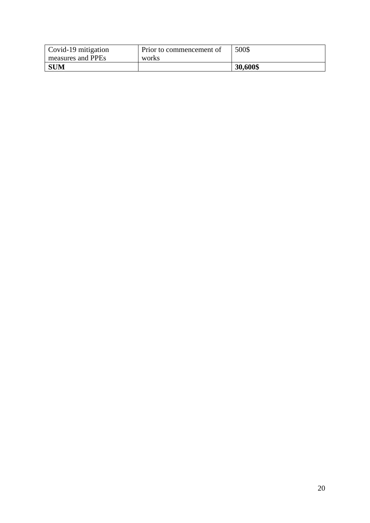| Covid-19 mitigation | Prior to commencement of | 500\$    |
|---------------------|--------------------------|----------|
| measures and PPEs   | works                    |          |
| <b>SUM</b>          |                          | 30,600\$ |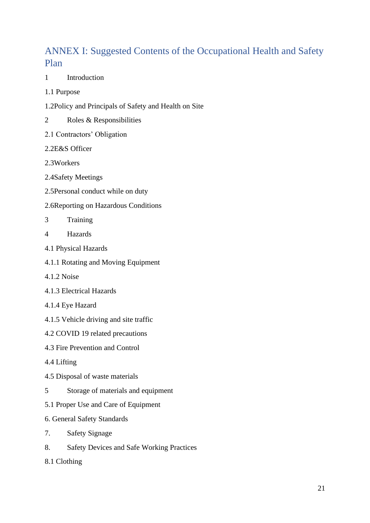# <span id="page-20-0"></span>ANNEX I: Suggested Contents of the Occupational Health and Safety Plan

- 1 Introduction
- 1.1 Purpose
- 1.2Policy and Principals of Safety and Health on Site
- 2 Roles & Responsibilities
- 2.1 Contractors' Obligation
- 2.2E&S Officer
- 2.3Workers
- 2.4Safety Meetings
- 2.5Personal conduct while on duty
- 2.6Reporting on Hazardous Conditions
- 3 Training
- 4 Hazards
- 4.1 Physical Hazards
- 4.1.1 Rotating and Moving Equipment
- 4.1.2 Noise
- 4.1.3 Electrical Hazards
- 4.1.4 Eye Hazard
- 4.1.5 Vehicle driving and site traffic
- 4.2 COVID 19 related precautions
- 4.3 Fire Prevention and Control
- 4.4 Lifting
- 4.5 Disposal of waste materials
- 5 Storage of materials and equipment
- 5.1 Proper Use and Care of Equipment
- 6. General Safety Standards
- 7. Safety Signage
- 8. Safety Devices and Safe Working Practices
- 8.1 Clothing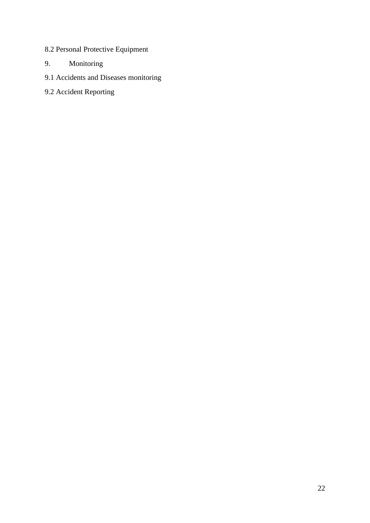- 8.2 Personal Protective Equipment
- 9. Monitoring
- 9.1 Accidents and Diseases monitoring
- 9.2 Accident Reporting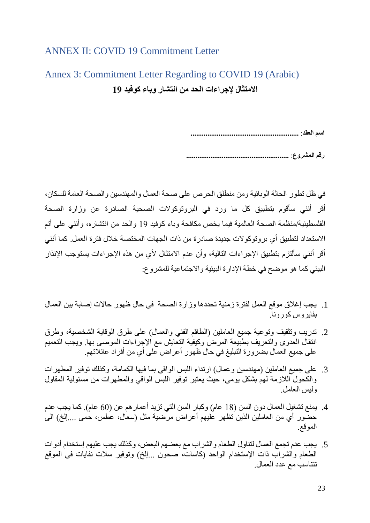#### <span id="page-22-0"></span>ANNEX II: COVID 19 Commitment Letter

# <span id="page-22-1"></span>Annex 3: Commitment Letter Regarding to COVID 19 (Arabic) **االمتثال إلجراءات الحد من انتشار وباء كوفيد 19**

**اسم العقد**: **..........................................................** 

**رقم المشروع**: **.......................................................**

في ظل تطور الحالة الوبائية ومن منطلق الحرص على صحة العمال والمهندسين والصحة العامة للسكان، أقر أنني سأقوم بتطبيق كل ما ورد في البروتوكوالت الصحية الصادرة عن وزارة الصحة الفلسطينية/منظمة الصحة العالمية فيما يخص مكافحة وباء كوفيد 19 والحد من انتشاره، وأنني على أتم االستعداد لتطبيق أي بروتوكوالت جديدة صادرة من ذات الجهات المختصة خالل فترة العمل. كما أنني أقر أنني سألتزم بتطبيق الإجراءات التالية، وأن عدم الامتثال لأي من هذه الإجراءات يستوجب الإنذار البيئي كما هو موضح في خطة اإلدارة البيئية واالجتماعية للمشروع:

- .1 يجب إغالق موقع العمل لفترة زمنية تحددها وزارة الصحة في حال ظهور حاالت إصابة بين العمال بفايروس كورونا.
- 2. تدريب وتثقيف وتوعية جميع العاملين (الطاقم الفني والعمال) على طرق الوقاية الشخصية، وطرق انتقال العدوى والتعريف بطبيعة المرض وكيفية التعايش مع اإلجراءات الموصى بها. ويجب التعميم على جميع العمال بضرورة التبليغ في حال ظهور أعراض على أي من أفراد عائال تهم.
- 3. على جميع العاملين (مهندسين وعمال) ارتداء اللبس الواقي بما فيها الكمامة، وكذلك توفير المطهرات والكحول الالزمة لهم بشكل يومي، حيث يعتبر توفير اللبس الواقي والمطهرات من مسئولية المقاول وليس العامل.
- 4. يمنع تشغيل العمال دون السن (18 عام) وكبار السن التي تزيد أعمارهم عن (60 عام). كما يجب عدم حضّور أي من العاملين الذين تظهر عليهم أعراض مرضية مثل (سعال، عطس، حمى ....إلخ) الى الموقع.
- .5 يجب عدم تجمع العمال لتناول الطعام والشراب مع بعضهم البعض، وكذلك يجب عليهم إستخدام أدوات الطعام والشراب ذات الإستخدام الواحد (كاسات، صحون …إلخ) وتوفير سلات نفايات في الموقع تتناسب مع عدد العمال.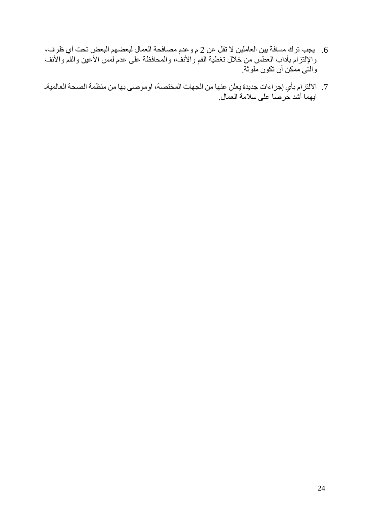- .6 يجب ترك مسافة بين العاملين ال تقل عن 2 م وعدم مصافحة العمال لبعضهم البعض تحت أي ظرف، والإلتزام بأداب العطس من خلال تغطية الفم والأنف، والمحافظة على عدم لمس الأعين والفمّ والأنف والتي ممكن أن تكون ملوثة.
- 7. الالتزام بأي إجراءات جديدة يعلن عنها من الجهات المختصة، اوموصىي بها من منظمة الصحة العالميةـ ايهما أشد حرصا على سالمة العمال.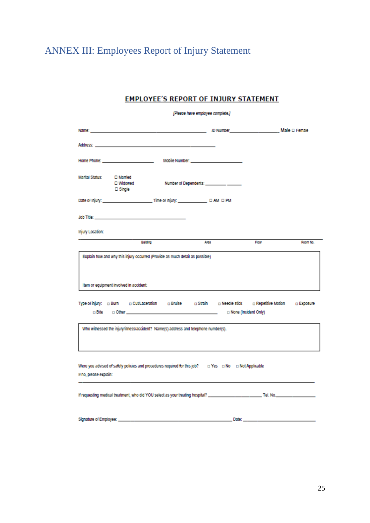# <span id="page-24-0"></span>ANNEX III: Employees Report of Injury Statement

#### **EMPLOYEE'S REPORT OF INJURY STATEMENT**

| [Please have employee complete.]                                                                                                               |                                                                                                       |          |      |       |          |
|------------------------------------------------------------------------------------------------------------------------------------------------|-------------------------------------------------------------------------------------------------------|----------|------|-------|----------|
|                                                                                                                                                |                                                                                                       |          |      |       |          |
|                                                                                                                                                |                                                                                                       |          |      |       |          |
|                                                                                                                                                |                                                                                                       |          |      |       |          |
| <b>Marital Status:</b>                                                                                                                         | □ Married<br>□ Widowed<br>$\square$ Single                                                            |          |      |       |          |
|                                                                                                                                                |                                                                                                       |          |      |       |          |
|                                                                                                                                                | Job Title: And The Commission of the Commission of the Commission of the Commission of the Commission |          |      |       |          |
| Injury Location:                                                                                                                               |                                                                                                       |          |      |       |          |
|                                                                                                                                                |                                                                                                       | Building | Area | Floor | Room No. |
| Explain how and why this injury occurred (Provide as much detail as possible)<br>Item or equipment involved in accident:                       |                                                                                                       |          |      |       |          |
| Type of injury: c Burn c Cut/Laceration c Bruise c Strain c Needle stick c Repetitive Motion c Exposure<br>n None (Incident Only)              |                                                                                                       |          |      |       |          |
| Who witnessed the injury/illness/accident? Name(s) address and telephone number(s).                                                            |                                                                                                       |          |      |       |          |
| Were you advised of safety policies and procedures required for this job? $\Box$ Yes $\Box$ No $\Box$ Not Applicable<br>If no, please explain: |                                                                                                       |          |      |       |          |
|                                                                                                                                                |                                                                                                       |          |      |       |          |
|                                                                                                                                                |                                                                                                       |          |      |       |          |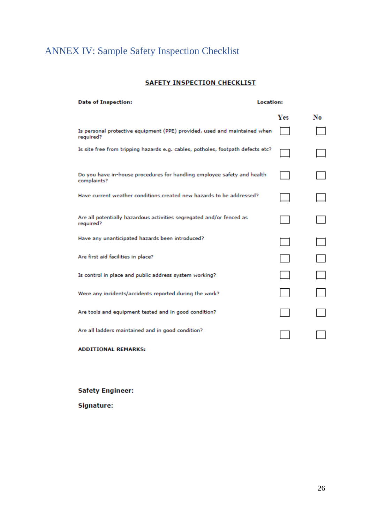# <span id="page-25-0"></span>ANNEX IV: Sample Safety Inspection Checklist

#### **SAFETY INSPECTION CHECKLIST**

| <b>Date of Inspection:</b>                                                             | <b>Location:</b> |    |
|----------------------------------------------------------------------------------------|------------------|----|
|                                                                                        | <b>Yes</b>       | No |
| Is personal protective equipment (PPE) provided, used and maintained when<br>required? |                  |    |
| Is site free from tripping hazards e.g. cables, potholes, footpath defects etc?        |                  |    |
| Do you have in-house procedures for handling employee safety and health<br>complaints? |                  |    |
| Have current weather conditions created new hazards to be addressed?                   |                  |    |
| Are all potentially hazardous activities segregated and/or fenced as<br>required?      |                  |    |
| Have any unanticipated hazards been introduced?                                        |                  |    |
| Are first aid facilities in place?                                                     |                  |    |
| Is control in place and public address system working?                                 |                  |    |
| Were any incidents/accidents reported during the work?                                 |                  |    |
| Are tools and equipment tested and in good condition?                                  |                  |    |
| Are all ladders maintained and in good condition?                                      |                  |    |
|                                                                                        |                  |    |

**ADDITIONAL REMARKS:** 

**Safety Engineer:** 

Signature: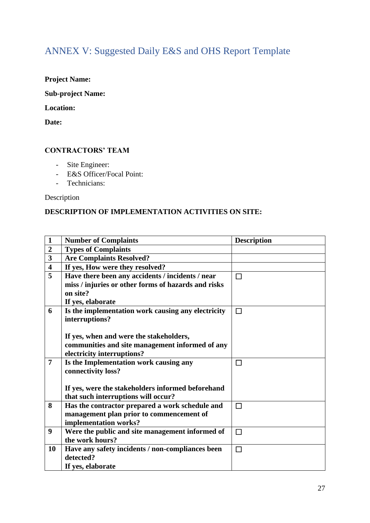# <span id="page-26-0"></span>ANNEX V: Suggested Daily E&S and OHS Report Template

#### **Project Name:**

**Sub-project Name:** 

#### **Location:**

**Date:** 

#### **CONTRACTORS' TEAM**

- Site Engineer:
- E&S Officer/Focal Point:
- Technicians:

Description

#### **DESCRIPTION OF IMPLEMENTATION ACTIVITIES ON SITE:**

| $\mathbf{1}$            | <b>Number of Complaints</b>                                                                 | <b>Description</b> |
|-------------------------|---------------------------------------------------------------------------------------------|--------------------|
| $\overline{2}$          | <b>Types of Complaints</b>                                                                  |                    |
| 3                       | <b>Are Complaints Resolved?</b>                                                             |                    |
| $\overline{\mathbf{4}}$ | If yes, How were they resolved?                                                             |                    |
| 5                       | Have there been any accidents / incidents / near                                            | $\Box$             |
|                         | miss / injuries or other forms of hazards and risks                                         |                    |
|                         | on site?                                                                                    |                    |
|                         | If yes, elaborate                                                                           |                    |
| 6                       | Is the implementation work causing any electricity                                          | П                  |
|                         | interruptions?                                                                              |                    |
|                         |                                                                                             |                    |
|                         | If yes, when and were the stakeholders,                                                     |                    |
|                         | communities and site management informed of any                                             |                    |
|                         | electricity interruptions?                                                                  |                    |
| $\overline{7}$          | Is the Implementation work causing any                                                      | П                  |
|                         | connectivity loss?                                                                          |                    |
|                         |                                                                                             |                    |
|                         | If yes, were the stakeholders informed beforehand                                           |                    |
| 8                       | that such interruptions will occur?                                                         | П                  |
|                         | Has the contractor prepared a work schedule and<br>management plan prior to commencement of |                    |
|                         | implementation works?                                                                       |                    |
| 9                       | Were the public and site management informed of                                             | П                  |
|                         | the work hours?                                                                             |                    |
| 10                      | Have any safety incidents / non-compliances been                                            | П                  |
|                         | detected?                                                                                   |                    |
|                         | If yes, elaborate                                                                           |                    |
|                         |                                                                                             |                    |